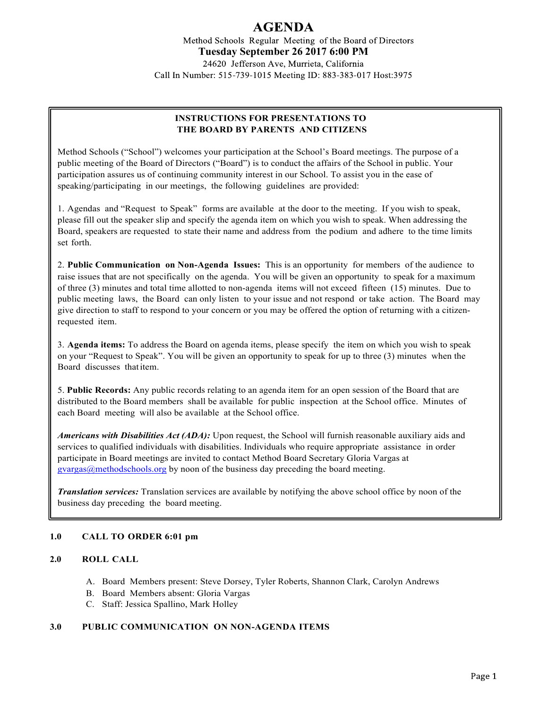# AGENDA

Method Schools Regular Meeting of the Board of Directors **Tuesday September 26 2017 6:00 PM**

24620 Jefferson Ave, Murrieta, California Call In Number: 515-739-1015 Meeting ID: 883-383-017 Host:3975

## **INSTRUCTIONS FOR PRESENTATIONS TO THE BOARD BY PARENTS AND CITIZENS**

Method Schools ("School") welcomes your participation at the School's Board meetings. The purpose of a public meeting of the Board of Directors ("Board") is to conduct the affairs of the School in public. Your participation assures us of continuing community interest in our School. To assist you in the ease of speaking/participating in our meetings, the following guidelines are provided:

1. Agendas and "Request to Speak" forms are available at the door to the meeting. If you wish to speak, please fill out the speaker slip and specify the agenda item on which you wish to speak. When addressing the Board, speakers are requested to state their name and address from the podium and adhere to the time limits set forth.

2. **Public Communication on Non-Agenda Issues:** This is an opportunity for members of the audience to raise issues that are not specifically on the agenda. You will be given an opportunity to speak for a maximum of three (3) minutes and total time allotted to non-agenda items will not exceed fifteen (15) minutes. Due to public meeting laws, the Board can only listen to your issue and not respond or take action. The Board may give direction to staff to respond to your concern or you may be offered the option of returning with a citizenrequested item.

3. **Agenda items:** To address the Board on agenda items, please specify the item on which you wish to speak on your "Request to Speak". You will be given an opportunity to speak for up to three (3) minutes when the Board discusses thatitem.

5. **Public Records:** Any public records relating to an agenda item for an open session of the Board that are distributed to the Board members shall be available for public inspection at the School office. Minutes of each Board meeting will also be available at the School office.

*Americans with Disabilities Act (ADA):* Upon request, the School will furnish reasonable auxiliary aids and services to qualified individuals with disabilities. Individuals who require appropriate assistance in order participate in Board meetings are invited to contact Method Board Secretary Gloria Vargas at gvargas@methodschools.org by noon of the business day preceding the board meeting.

*Translation services:* Translation services are available by notifying the above school office by noon of the business day preceding the board meeting.

## **1.0 CALL TO ORDER 6:01 pm**

## **2.0 ROLL CALL**

- A. Board Members present: Steve Dorsey, Tyler Roberts, Shannon Clark, Carolyn Andrews
- B. Board Members absent: Gloria Vargas
- C. Staff: Jessica Spallino, Mark Holley

#### **3.0 PUBLIC COMMUNICATION ON NON-AGENDA ITEMS**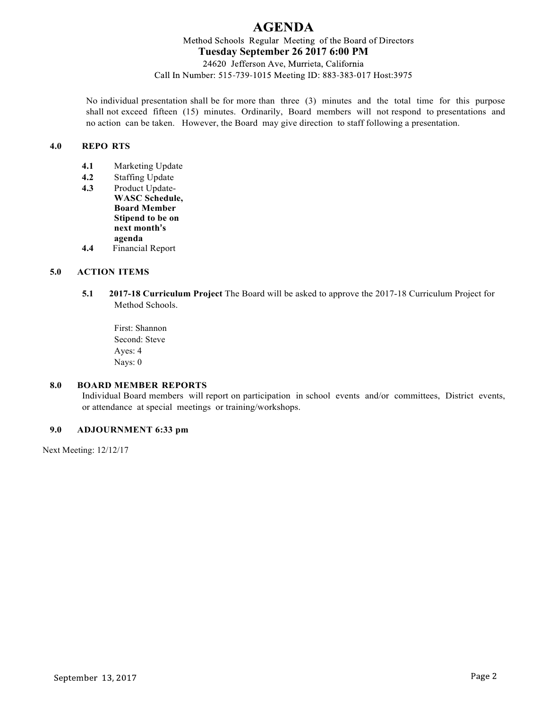# **AGENDA**

Method Schools Regular Meeting of the Board of Directors **Tuesday September 26 2017 6:00 PM**

24620 Jefferson Ave, Murrieta, California Call In Number: 515-739-1015 Meeting ID: 883-383-017 Host:3975

No individual presentation shall be for more than three (3) minutes and the total time for this purpose shall not exceed fifteen (15) minutes. Ordinarily, Board members will not respond to presentations and no action can be taken. However, the Board may give direction to staff following a presentation.

#### **4.0 REPO RTS**

- **4.1** Marketing Update
- **4.2** Staffing Update
- **4.3** Product Update-**WASC Schedule, Board Member Stipend to be on next month's agenda 4.4** Financial Report
- 

# **5.0 ACTION ITEMS**

- **5.1 2017-18 Curriculum Project** The Board will be asked to approve the 2017-18 Curriculum Project for Method Schools.
	- First: Shannon Second: Steve Ayes: 4 Nays: 0

#### **8.0 BOARD MEMBER REPORTS**

Individual Board members will report on participation in school events and/or committees, District events, or attendance at special meetings or training/workshops.

#### **9.0 ADJOURNMENT 6:33 pm**

Next Meeting: 12/12/17